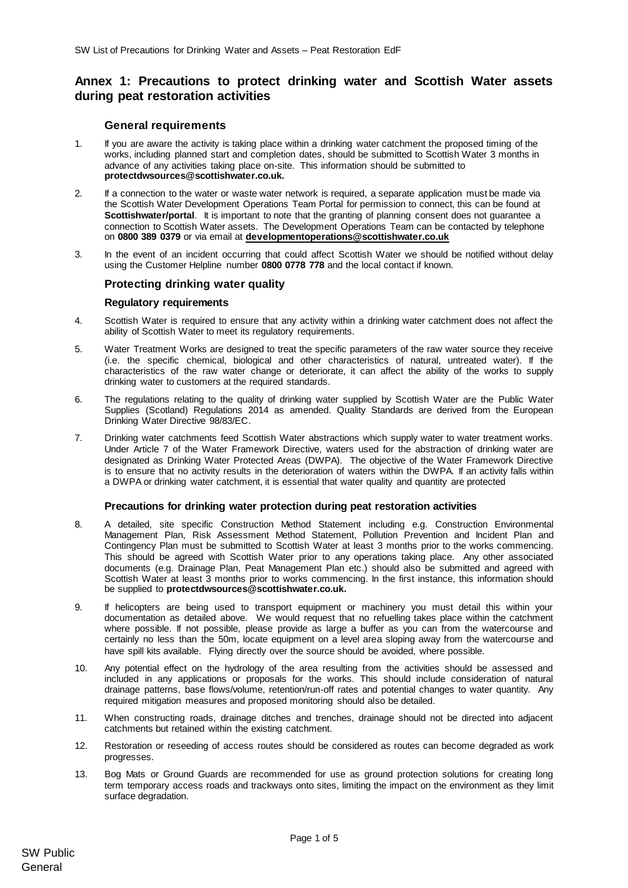# **Annex 1: Precautions to protect drinking water and Scottish Water assets during peat restoration activities**

## **General requirements**

- 1. If you are aware the activity is taking place within a drinking water catchment the proposed timing of the works, including planned start and completion dates, should be submitted to Scottish Water 3 months in advance of any activities taking place on-site. This information should be submitted to **protectdwsources@scottishwater.co.uk.**
- 2. If a connection to the water or waste water network is required, a separate application must be made via the Scottish Water Development Operations Team Portal for permission to connect, this can be found at **Scottishwater/portal**. It is important to note that the granting of planning consent does not guarantee a connection to Scottish Water assets. The Development Operations Team can be contacted by telephone on **0800 389 0379** or via email at **[developmentoperations@scottishwater.co.uk](mailto:developmentoperations@scottishwater.co.uk)**
- 3. In the event of an incident occurring that could affect Scottish Water we should be notified without delay using the Customer Helpline number **0800 0778 778** and the local contact if known.

# **Protecting drinking water quality**

## **Regulatory requirements**

- 4. Scottish Water is required to ensure that any activity within a drinking water catchment does not affect the ability of Scottish Water to meet its regulatory requirements.
- 5. Water Treatment Works are designed to treat the specific parameters of the raw water source they receive (i.e. the specific chemical, biological and other characteristics of natural, untreated water). If the characteristics of the raw water change or deteriorate, it can affect the ability of the works to supply drinking water to customers at the required standards.
- 6. The regulations relating to the quality of drinking water supplied by Scottish Water are the Public Water Supplies (Scotland) Regulations 2014 as amended. Quality Standards are derived from the European Drinking Water Directive 98/83/EC.
- 7. Drinking water catchments feed Scottish Water abstractions which supply water to water treatment works. Under Article 7 of the Water Framework Directive, waters used for the abstraction of drinking water are designated as Drinking Water Protected Areas (DWPA). The objective of the Water Framework Directive is to ensure that no activity results in the deterioration of waters within the DWPA. If an activity falls within a DWPA or drinking water catchment, it is essential that water quality and quantity are protected

#### **Precautions for drinking water protection during peat restoration activities**

- 8. A detailed, site specific Construction Method Statement including e.g. Construction Environmental Management Plan, Risk Assessment Method Statement, Pollution Prevention and Incident Plan and Contingency Plan must be submitted to Scottish Water at least 3 months prior to the works commencing. This should be agreed with Scottish Water prior to any operations taking place. Any other associated documents (e.g. Drainage Plan, Peat Management Plan etc.) should also be submitted and agreed with Scottish Water at least 3 months prior to works commencing. In the first instance, this information should be supplied to **protectdwsources@scottishwater.co.uk.**
- 9. If helicopters are being used to transport equipment or machinery you must detail this within your documentation as detailed above. We would request that no refuelling takes place within the catchment where possible. If not possible, please provide as large a buffer as you can from the watercourse and certainly no less than the 50m, locate equipment on a level area sloping away from the watercourse and have spill kits available. Flying directly over the source should be avoided, where possible.
- 10. Any potential effect on the hydrology of the area resulting from the activities should be assessed and included in any applications or proposals for the works. This should include consideration of natural drainage patterns, base flows/volume, retention/run-off rates and potential changes to water quantity. Any required mitigation measures and proposed monitoring should also be detailed.
- 11. When constructing roads, drainage ditches and trenches, drainage should not be directed into adjacent catchments but retained within the existing catchment.
- 12. Restoration or reseeding of access routes should be considered as routes can become degraded as work progresses.
- 13. Bog Mats or Ground Guards are recommended for use as ground protection solutions for creating long term temporary access roads and trackways onto sites, limiting the impact on the environment as they limit surface degradation.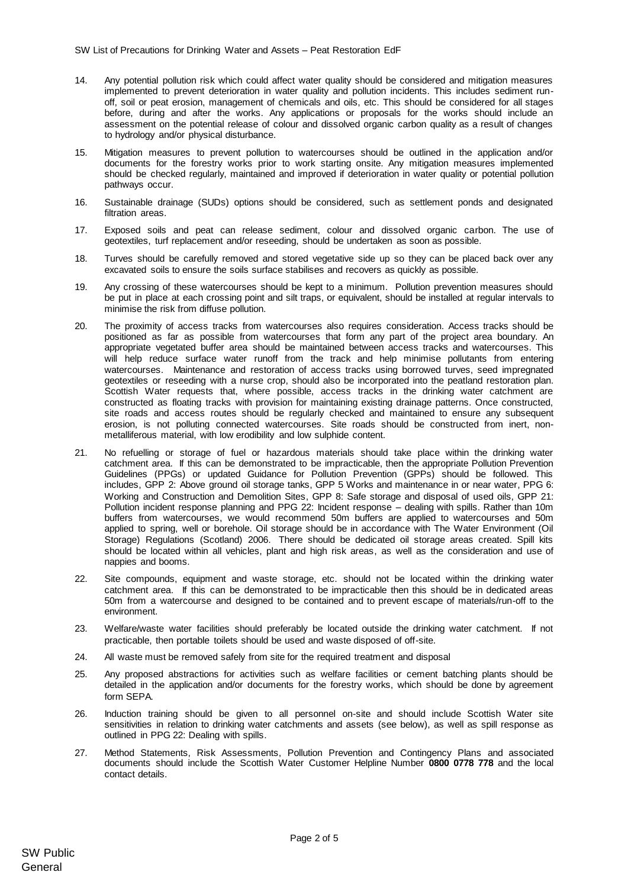- 14. Any potential pollution risk which could affect water quality should be considered and mitigation measures implemented to prevent deterioration in water quality and pollution incidents. This includes sediment runoff, soil or peat erosion, management of chemicals and oils, etc. This should be considered for all stages before, during and after the works. Any applications or proposals for the works should include an assessment on the potential release of colour and dissolved organic carbon quality as a result of changes to hydrology and/or physical disturbance.
- 15. Mitigation measures to prevent pollution to watercourses should be outlined in the application and/or documents for the forestry works prior to work starting onsite. Any mitigation measures implemented should be checked regularly, maintained and improved if deterioration in water quality or potential pollution pathways occur.
- 16. Sustainable drainage (SUDs) options should be considered, such as settlement ponds and designated filtration areas.
- 17. Exposed soils and peat can release sediment, colour and dissolved organic carbon. The use of geotextiles, turf replacement and/or reseeding, should be undertaken as soon as possible.
- 18. Turves should be carefully removed and stored vegetative side up so they can be placed back over any excavated soils to ensure the soils surface stabilises and recovers as quickly as possible.
- 19. Any crossing of these watercourses should be kept to a minimum. Pollution prevention measures should be put in place at each crossing point and silt traps, or equivalent, should be installed at regular intervals to minimise the risk from diffuse pollution.
- 20. The proximity of access tracks from watercourses also requires consideration. Access tracks should be positioned as far as possible from watercourses that form any part of the project area boundary. An appropriate vegetated buffer area should be maintained between access tracks and watercourses. This will help reduce surface water runoff from the track and help minimise pollutants from entering watercourses. Maintenance and restoration of access tracks using borrowed turves, seed impregnated geotextiles or reseeding with a nurse crop, should also be incorporated into the peatland restoration plan. Scottish Water requests that, where possible, access tracks in the drinking water catchment are constructed as floating tracks with provision for maintaining existing drainage patterns. Once constructed, site roads and access routes should be regularly checked and maintained to ensure any subsequent erosion, is not polluting connected watercourses. Site roads should be constructed from inert, nonmetalliferous material, with low erodibility and low sulphide content.
- 21. No refuelling or storage of fuel or hazardous materials should take place within the drinking water catchment area. If this can be demonstrated to be impracticable, then the appropriate Pollution Prevention Guidelines (PPGs) or updated Guidance for Pollution Prevention (GPPs) should be followed. This includes, GPP 2: Above ground oil storage tanks, GPP 5 Works and maintenance in or near water, PPG 6: Working and Construction and Demolition Sites, GPP 8: Safe storage and disposal of used oils, GPP 21: Pollution incident response planning and PPG 22: Incident response – dealing with spills. Rather than 10m buffers from watercourses, we would recommend 50m buffers are applied to watercourses and 50m applied to spring, well or borehole. Oil storage should be in accordance with The Water Environment (Oil Storage) Regulations (Scotland) 2006. There should be dedicated oil storage areas created. Spill kits should be located within all vehicles, plant and high risk areas, as well as the consideration and use of nappies and booms.
- 22. Site compounds, equipment and waste storage, etc. should not be located within the drinking water catchment area. If this can be demonstrated to be impracticable then this should be in dedicated areas 50m from a watercourse and designed to be contained and to prevent escape of materials/run-off to the environment.
- 23. Welfare/waste water facilities should preferably be located outside the drinking water catchment. If not practicable, then portable toilets should be used and waste disposed of off-site.
- 24. All waste must be removed safely from site for the required treatment and disposal
- 25. Any proposed abstractions for activities such as welfare facilities or cement batching plants should be detailed in the application and/or documents for the forestry works, which should be done by agreement form SEPA.
- 26. Induction training should be given to all personnel on-site and should include Scottish Water site sensitivities in relation to drinking water catchments and assets (see below), as well as spill response as outlined in PPG 22: Dealing with spills.
- 27. Method Statements, Risk Assessments, Pollution Prevention and Contingency Plans and associated documents should include the Scottish Water Customer Helpline Number **0800 0778 778** and the local contact details.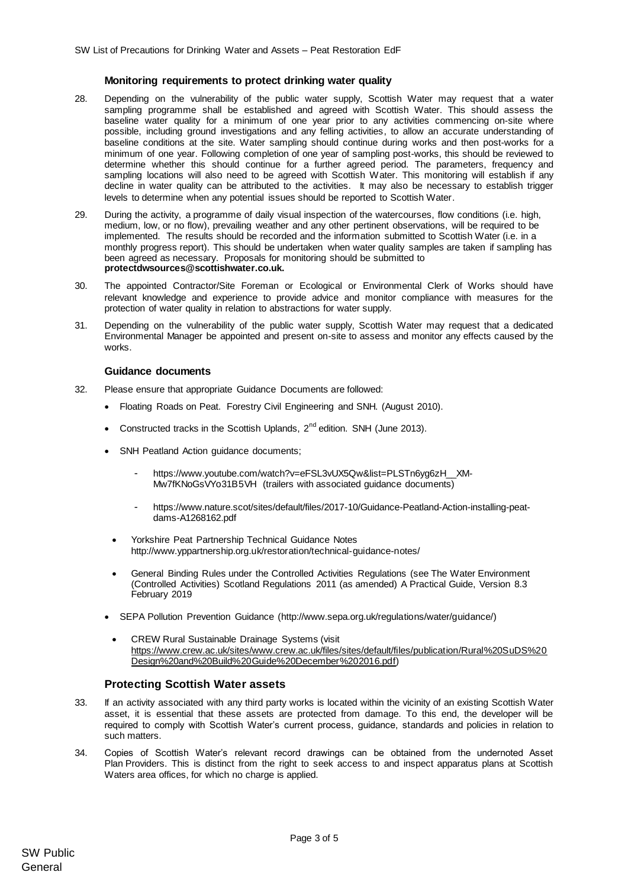### **Monitoring requirements to protect drinking water quality**

- 28. Depending on the vulnerability of the public water supply, Scottish Water may request that a water sampling programme shall be established and agreed with Scottish Water. This should assess the baseline water quality for a minimum of one year prior to any activities commencing on-site where possible, including ground investigations and any felling activities, to allow an accurate understanding of baseline conditions at the site. Water sampling should continue during works and then post-works for a minimum of one year. Following completion of one year of sampling post-works, this should be reviewed to determine whether this should continue for a further agreed period. The parameters, frequency and sampling locations will also need to be agreed with Scottish Water. This monitoring will establish if any decline in water quality can be attributed to the activities. It may also be necessary to establish trigger levels to determine when any potential issues should be reported to Scottish Water.
- 29. During the activity, a programme of daily visual inspection of the watercourses, flow conditions (i.e. high, medium, low, or no flow), prevailing weather and any other pertinent observations, will be required to be implemented. The results should be recorded and the information submitted to Scottish Water (i.e. in a monthly progress report). This should be undertaken when water quality samples are taken if sampling has been agreed as necessary. Proposals for monitoring should be submitted to **protectdwsources@scottishwater.co.uk.**
- 30. The appointed Contractor/Site Foreman or Ecological or Environmental Clerk of Works should have relevant knowledge and experience to provide advice and monitor compliance with measures for the protection of water quality in relation to abstractions for water supply.
- 31. Depending on the vulnerability of the public water supply, Scottish Water may request that a dedicated Environmental Manager be appointed and present on-site to assess and monitor any effects caused by the works.

#### **Guidance documents**

- 32. Please ensure that appropriate Guidance Documents are followed:
	- Floating Roads on Peat. Forestry Civil Engineering and SNH. (August 2010).
	- Constructed tracks in the Scottish Uplands,  $2^{nd}$  edition. SNH (June 2013).
	- SNH Peatland Action guidance documents;
		- https://www.youtube.com/watch?v=eFSL3vUX5Qw&list=PLSTn6yq6zH\_\_XM-[Mw7fKNoGsVYo31B5VH](https://www.youtube.com/watch?v=eFSL3vUX5Qw&list=PLSTn6yg6zH__XM-Mw7fKNoGsVYo31B5VH) (trailers with associated guidance documents)
		- [https://www.nature.scot/sites/default/files/2017-10/Guidance-Peatland-Action-installing-peat](https://www.nature.scot/sites/default/files/2017-10/Guidance-Peatland-Action-installing-peat-dams-A1268162.pdf)[dams-A1268162.pdf](https://www.nature.scot/sites/default/files/2017-10/Guidance-Peatland-Action-installing-peat-dams-A1268162.pdf)
		- Yorkshire Peat Partnership Technical Guidance Notes <http://www.yppartnership.org.uk/restoration/technical-guidance-notes/>
	- General Binding Rules under the Controlled Activities Regulations (see The Water Environment (Controlled Activities) Scotland Regulations 2011 (as amended) A Practical Guide, Version 8.3 February 2019
	- SEPA Pollution Prevention Guidance [\(http://www.sepa.org.uk/regulations/water/guidance/\)](http://www.sepa.org.uk/regulations/water/guidance/)
		- CREW Rural Sustainable Drainage Systems (visit [https://www.crew.ac.uk/sites/www.crew.ac.uk/files/sites/default/files/publication/Rural%20SuDS%20](https://www.crew.ac.uk/sites/www.crew.ac.uk/files/sites/default/files/publication/Rural%20SuDS%20Design%20and%20Build%20Guide%20December%202016.pdf) [Design%20and%20Build%20Guide%20December%202016.pdf\)](https://www.crew.ac.uk/sites/www.crew.ac.uk/files/sites/default/files/publication/Rural%20SuDS%20Design%20and%20Build%20Guide%20December%202016.pdf)

# **Protecting Scottish Water assets**

- 33. If an activity associated with any third party works is located within the vicinity of an existing Scottish Water asset, it is essential that these assets are protected from damage. To this end, the developer will be required to comply with Scottish Water's current process, guidance, standards and policies in relation to such matters.
- 34. Copies of Scottish Water's relevant record drawings can be obtained from the undernoted Asset Plan Providers. This is distinct from the right to seek access to and inspect apparatus plans at Scottish Waters area offices, for which no charge is applied.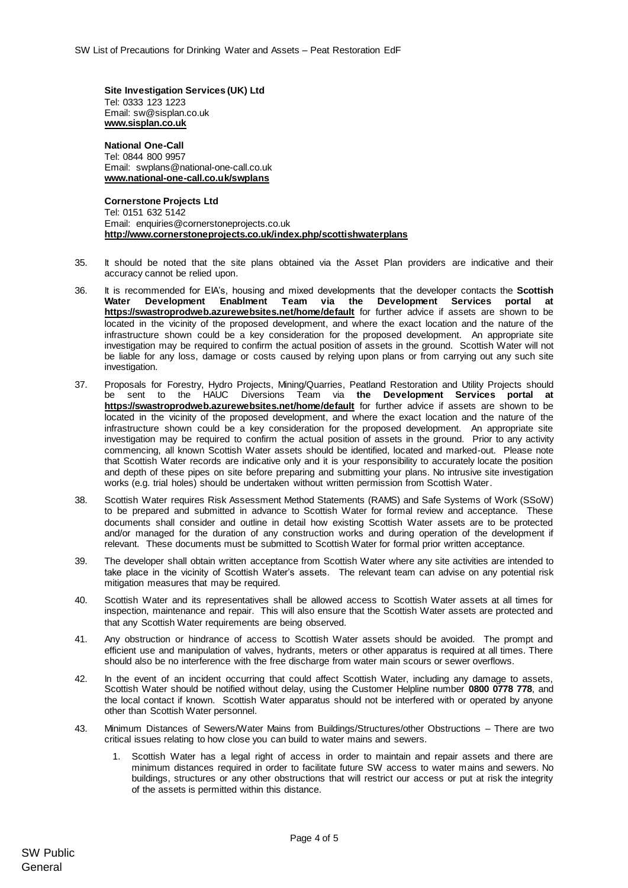**Site Investigation Services (UK) Ltd** Tel: 0333 123 1223 Email: sw@sisplan.co.uk **[www.sisplan.co.uk](http://www.sisplan.co.uk/)**

**National One-Call** Tel: 0844 800 9957 Email: swplans@national-one-call.co.uk **[www.national-one-call.co.uk/swplans](http://www.national-one-call.co.uk/swplans)**

**Cornerstone Projects Ltd**  Tel: 0151 632 5142 Email: [enquiries@cornerstoneprojects.co.uk](mailto:enquiries@cornerstoneprojects.co.uk) **http://www.cornerstoneprojects.co.uk/index.php/scottishwaterplans**

- 35. It should be noted that the site plans obtained via the Asset Plan providers are indicative and their accuracy cannot be relied upon.
- 36. It is recommended for EIA's, housing and mixed developments that the developer contacts the **Scottish Water [Development](mailto:Development) Enablment Team via the Development Services portal at <https://swastroprodweb.azurewebsites.net/home/default>** for further advice if assets are shown to be located in the vicinity of the proposed development, and where the exact location and the nature of the infrastructure shown could be a key consideration for the proposed development. An appropriate site investigation may be required to confirm the actual position of assets in the ground. Scottish Water will not be liable for any loss, damage or costs caused by relying upon plans or from carrying out any such site investigation.
- 37. Proposals for Forestry, Hydro Projects, Mining/Quarries, Peatland Restoration and Utility Projects should be sent to the HAUC Diversions Team via **[the](mailto:Hauc.diversions@scottishwater.co.uk) Development Services portal at <https://swastroprodweb.azurewebsites.net/home/default>** for further advice if assets are shown to be located in the vicinity of the proposed development, and where the exact location and the nature of the infrastructure shown could be a key consideration for the proposed development. An appropriate site investigation may be required to confirm the actual position of assets in the ground. Prior to any activity commencing, all known Scottish Water assets should be identified, located and marked-out. Please note that Scottish Water records are indicative only and it is your responsibility to accurately locate the position and depth of these pipes on site before preparing and submitting your plans. No intrusive site investigation works (e.g. trial holes) should be undertaken without written permission from Scottish Water.
- 38. Scottish Water requires Risk Assessment Method Statements (RAMS) and Safe Systems of Work (SSoW) to be prepared and submitted in advance to Scottish Water for formal review and acceptance. These documents shall consider and outline in detail how existing Scottish Water assets are to be protected and/or managed for the duration of any construction works and during operation of the development if relevant. These documents must be submitted to Scottish Water for formal prior written acceptance.
- 39. The developer shall obtain written acceptance from Scottish Water where any site activities are intended to take place in the vicinity of Scottish Water's assets. The relevant team can advise on any potential risk mitigation measures that may be required.
- 40. Scottish Water and its representatives shall be allowed access to Scottish Water assets at all times for inspection, maintenance and repair. This will also ensure that the Scottish Water assets are protected and that any Scottish Water requirements are being observed.
- 41. Any obstruction or hindrance of access to Scottish Water assets should be avoided. The prompt and efficient use and manipulation of valves, hydrants, meters or other apparatus is required at all times. There should also be no interference with the free discharge from water main scours or sewer overflows.
- 42. In the event of an incident occurring that could affect Scottish Water, including any damage to assets, Scottish Water should be notified without delay, using the Customer Helpline number **0800 0778 778**, and the local contact if known. Scottish Water apparatus should not be interfered with or operated by anyone other than Scottish Water personnel.
- 43. Minimum Distances of Sewers/Water Mains from Buildings/Structures/other Obstructions There are two critical issues relating to how close you can build to water mains and sewers.
	- 1. Scottish Water has a legal right of access in order to maintain and repair assets and there are minimum distances required in order to facilitate future SW access to water mains and sewers. No buildings, structures or any other obstructions that will restrict our access or put at risk the integrity of the assets is permitted within this distance.